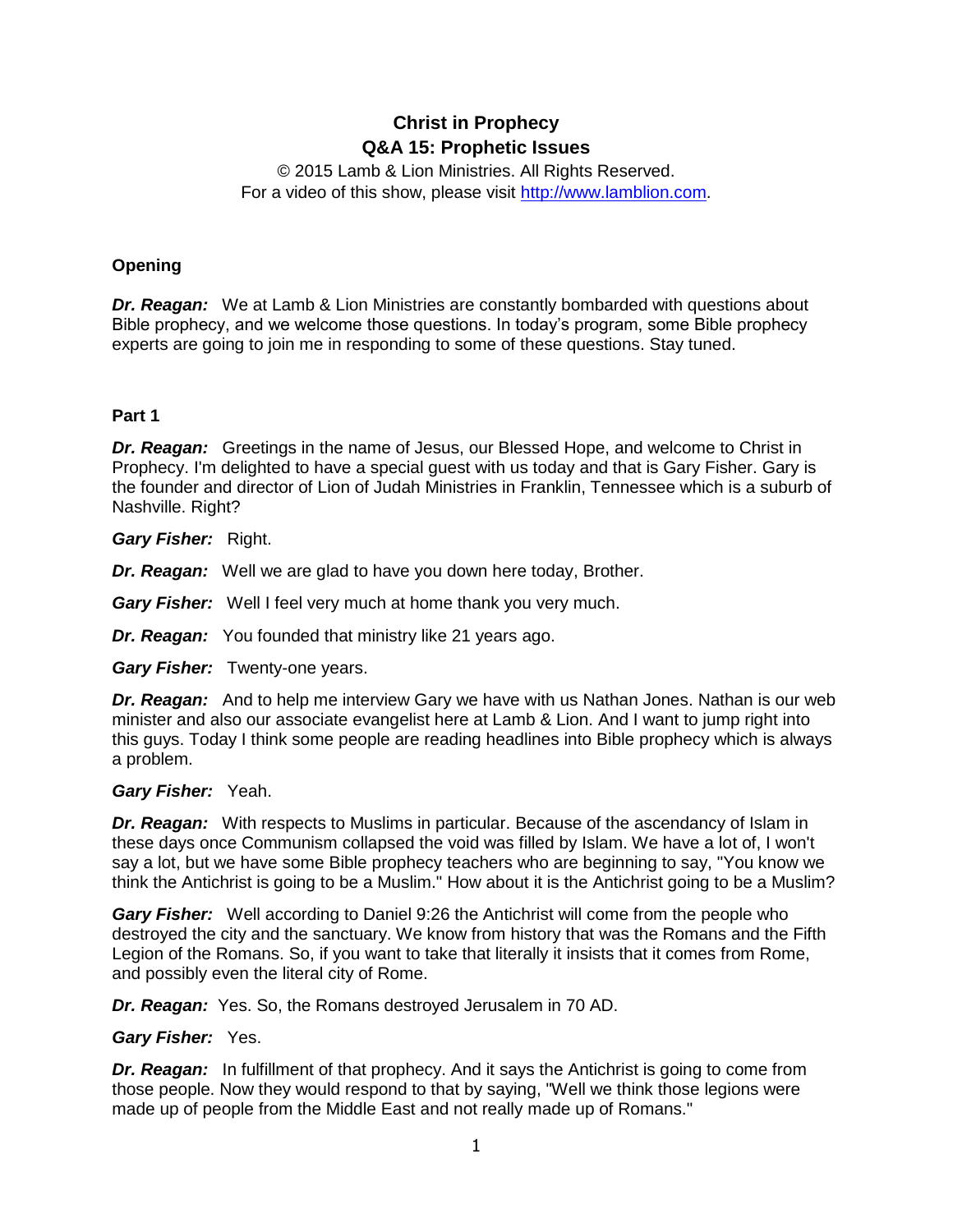# **Christ in Prophecy Q&A 15: Prophetic Issues**

© 2015 Lamb & Lion Ministries. All Rights Reserved. For a video of this show, please visit [http://www.lamblion.com.](http://www.lamblion.com/)

# **Opening**

*Dr. Reagan:* We at Lamb & Lion Ministries are constantly bombarded with questions about Bible prophecy, and we welcome those questions. In today's program, some Bible prophecy experts are going to join me in responding to some of these questions. Stay tuned.

# **Part 1**

*Dr. Reagan:* Greetings in the name of Jesus, our Blessed Hope, and welcome to Christ in Prophecy. I'm delighted to have a special guest with us today and that is Gary Fisher. Gary is the founder and director of Lion of Judah Ministries in Franklin, Tennessee which is a suburb of Nashville. Right?

*Gary Fisher:* Right.

# *Dr. Reagan:* Well we are glad to have you down here today, Brother.

*Gary Fisher:* Well I feel very much at home thank you very much.

*Dr. Reagan:* You founded that ministry like 21 years ago.

*Gary Fisher:* Twenty-one years.

*Dr. Reagan:* And to help me interview Gary we have with us Nathan Jones. Nathan is our web minister and also our associate evangelist here at Lamb & Lion. And I want to jump right into this guys. Today I think some people are reading headlines into Bible prophecy which is always a problem.

# *Gary Fisher:* Yeah.

*Dr. Reagan:* With respects to Muslims in particular. Because of the ascendancy of Islam in these days once Communism collapsed the void was filled by Islam. We have a lot of, I won't say a lot, but we have some Bible prophecy teachers who are beginning to say, "You know we think the Antichrist is going to be a Muslim." How about it is the Antichrist going to be a Muslim?

*Gary Fisher:* Well according to Daniel 9:26 the Antichrist will come from the people who destroyed the city and the sanctuary. We know from history that was the Romans and the Fifth Legion of the Romans. So, if you want to take that literally it insists that it comes from Rome, and possibly even the literal city of Rome.

*Dr. Reagan:* Yes. So, the Romans destroyed Jerusalem in 70 AD.

# *Gary Fisher:* Yes.

**Dr. Reagan:** In fulfillment of that prophecy. And it says the Antichrist is going to come from those people. Now they would respond to that by saying, "Well we think those legions were made up of people from the Middle East and not really made up of Romans."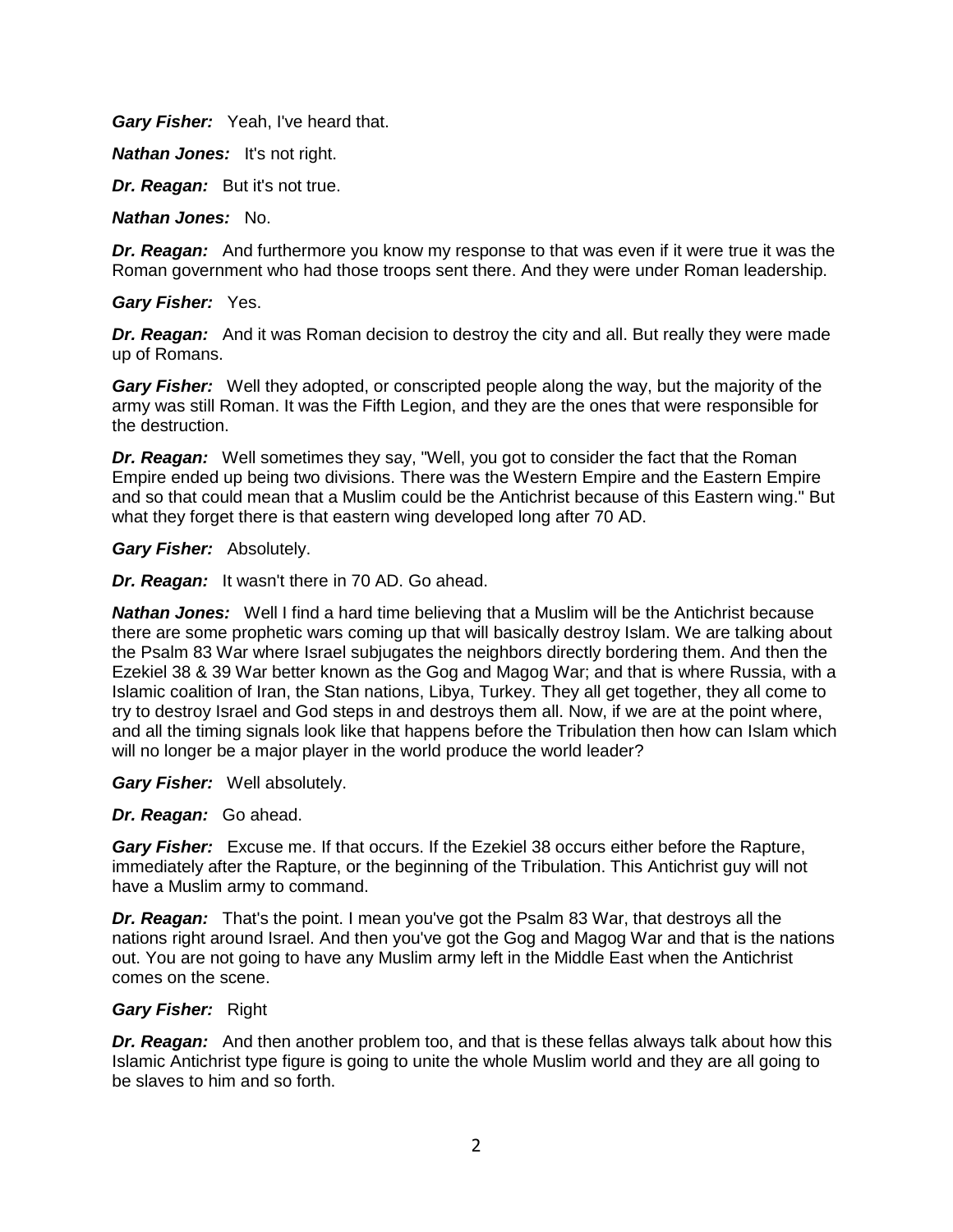*Gary Fisher:* Yeah, I've heard that.

*Nathan Jones:* It's not right.

*Dr. Reagan:* But it's not true.

*Nathan Jones:* No.

*Dr. Reagan:* And furthermore you know my response to that was even if it were true it was the Roman government who had those troops sent there. And they were under Roman leadership.

*Gary Fisher:* Yes.

**Dr. Reagan:** And it was Roman decision to destroy the city and all. But really they were made up of Romans.

*Gary Fisher:* Well they adopted, or conscripted people along the way, but the majority of the army was still Roman. It was the Fifth Legion, and they are the ones that were responsible for the destruction.

*Dr. Reagan:* Well sometimes they say, "Well, you got to consider the fact that the Roman Empire ended up being two divisions. There was the Western Empire and the Eastern Empire and so that could mean that a Muslim could be the Antichrist because of this Eastern wing." But what they forget there is that eastern wing developed long after 70 AD.

*Gary Fisher:* Absolutely.

*Dr. Reagan:* It wasn't there in 70 AD. Go ahead.

*Nathan Jones:* Well I find a hard time believing that a Muslim will be the Antichrist because there are some prophetic wars coming up that will basically destroy Islam. We are talking about the Psalm 83 War where Israel subjugates the neighbors directly bordering them. And then the Ezekiel 38 & 39 War better known as the Gog and Magog War; and that is where Russia, with a Islamic coalition of Iran, the Stan nations, Libya, Turkey. They all get together, they all come to try to destroy Israel and God steps in and destroys them all. Now, if we are at the point where, and all the timing signals look like that happens before the Tribulation then how can Islam which will no longer be a major player in the world produce the world leader?

*Gary Fisher:* Well absolutely.

*Dr. Reagan:* Go ahead.

**Gary Fisher:** Excuse me. If that occurs. If the Ezekiel 38 occurs either before the Rapture, immediately after the Rapture, or the beginning of the Tribulation. This Antichrist guy will not have a Muslim army to command.

*Dr. Reagan:* That's the point. I mean you've got the Psalm 83 War, that destroys all the nations right around Israel. And then you've got the Gog and Magog War and that is the nations out. You are not going to have any Muslim army left in the Middle East when the Antichrist comes on the scene.

# *Gary Fisher:* Right

*Dr. Reagan:* And then another problem too, and that is these fellas always talk about how this Islamic Antichrist type figure is going to unite the whole Muslim world and they are all going to be slaves to him and so forth.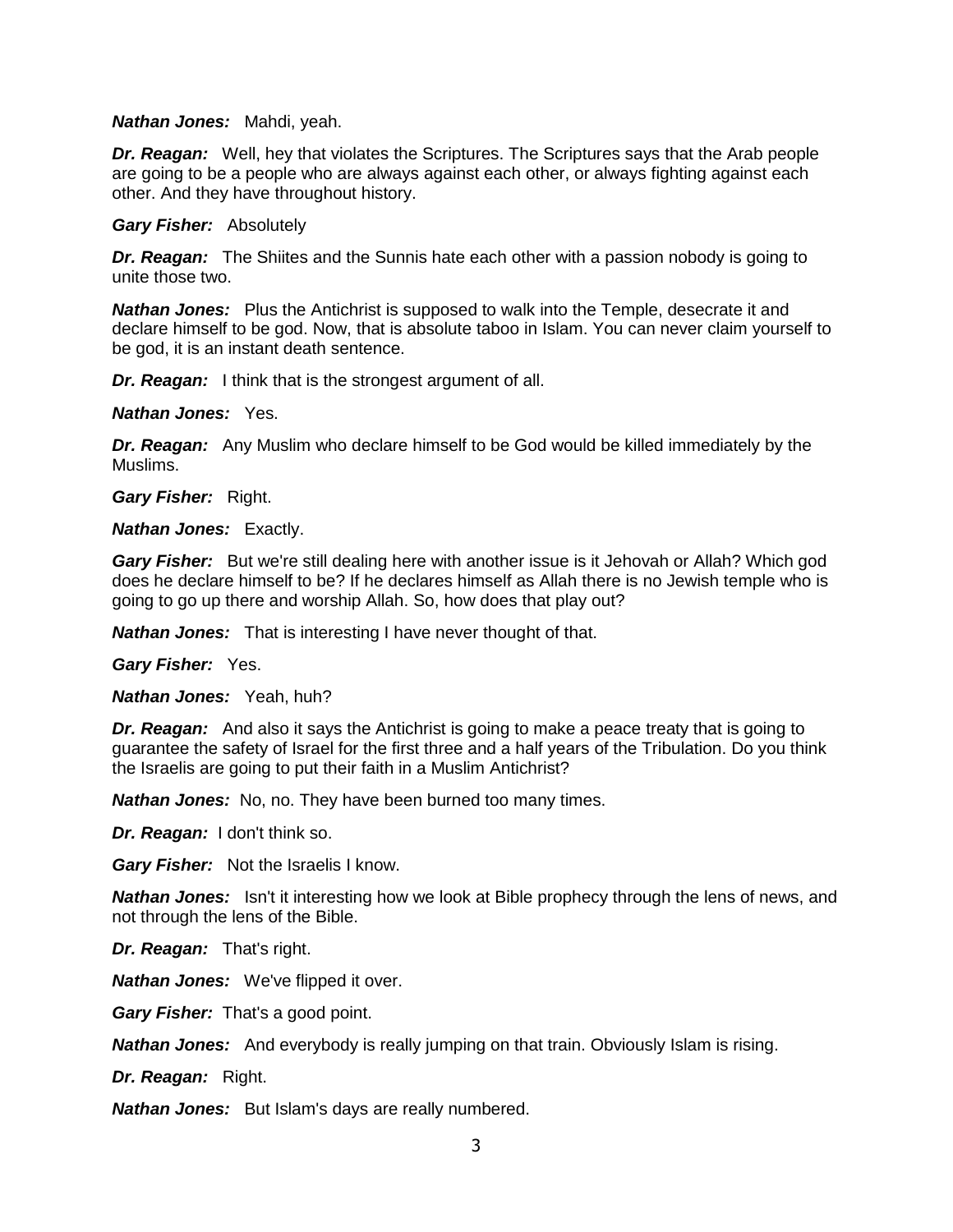#### *Nathan Jones:* Mahdi, yeah.

**Dr. Reagan:** Well, hey that violates the Scriptures. The Scriptures says that the Arab people are going to be a people who are always against each other, or always fighting against each other. And they have throughout history.

#### *Gary Fisher:* Absolutely

*Dr. Reagan:* The Shiites and the Sunnis hate each other with a passion nobody is going to unite those two.

*Nathan Jones:* Plus the Antichrist is supposed to walk into the Temple, desecrate it and declare himself to be god. Now, that is absolute taboo in Islam. You can never claim yourself to be god, it is an instant death sentence.

*Dr. Reagan:* I think that is the strongest argument of all.

*Nathan Jones:* Yes.

*Dr. Reagan:* Any Muslim who declare himself to be God would be killed immediately by the Muslims.

*Gary Fisher:* Right.

*Nathan Jones:* Exactly.

*Gary Fisher:* But we're still dealing here with another issue is it Jehovah or Allah? Which god does he declare himself to be? If he declares himself as Allah there is no Jewish temple who is going to go up there and worship Allah. So, how does that play out?

*Nathan Jones:* That is interesting I have never thought of that.

*Gary Fisher:* Yes.

*Nathan Jones:* Yeah, huh?

*Dr. Reagan:* And also it says the Antichrist is going to make a peace treaty that is going to guarantee the safety of Israel for the first three and a half years of the Tribulation. Do you think the Israelis are going to put their faith in a Muslim Antichrist?

*Nathan Jones:* No, no. They have been burned too many times.

*Dr. Reagan:* I don't think so.

*Gary Fisher:* Not the Israelis I know.

*Nathan Jones:* Isn't it interesting how we look at Bible prophecy through the lens of news, and not through the lens of the Bible.

*Dr. Reagan:* That's right.

*Nathan Jones:* We've flipped it over.

*Gary Fisher:* That's a good point.

*Nathan Jones:* And everybody is really jumping on that train. Obviously Islam is rising.

*Dr. Reagan:* Right.

*Nathan Jones:* But Islam's days are really numbered.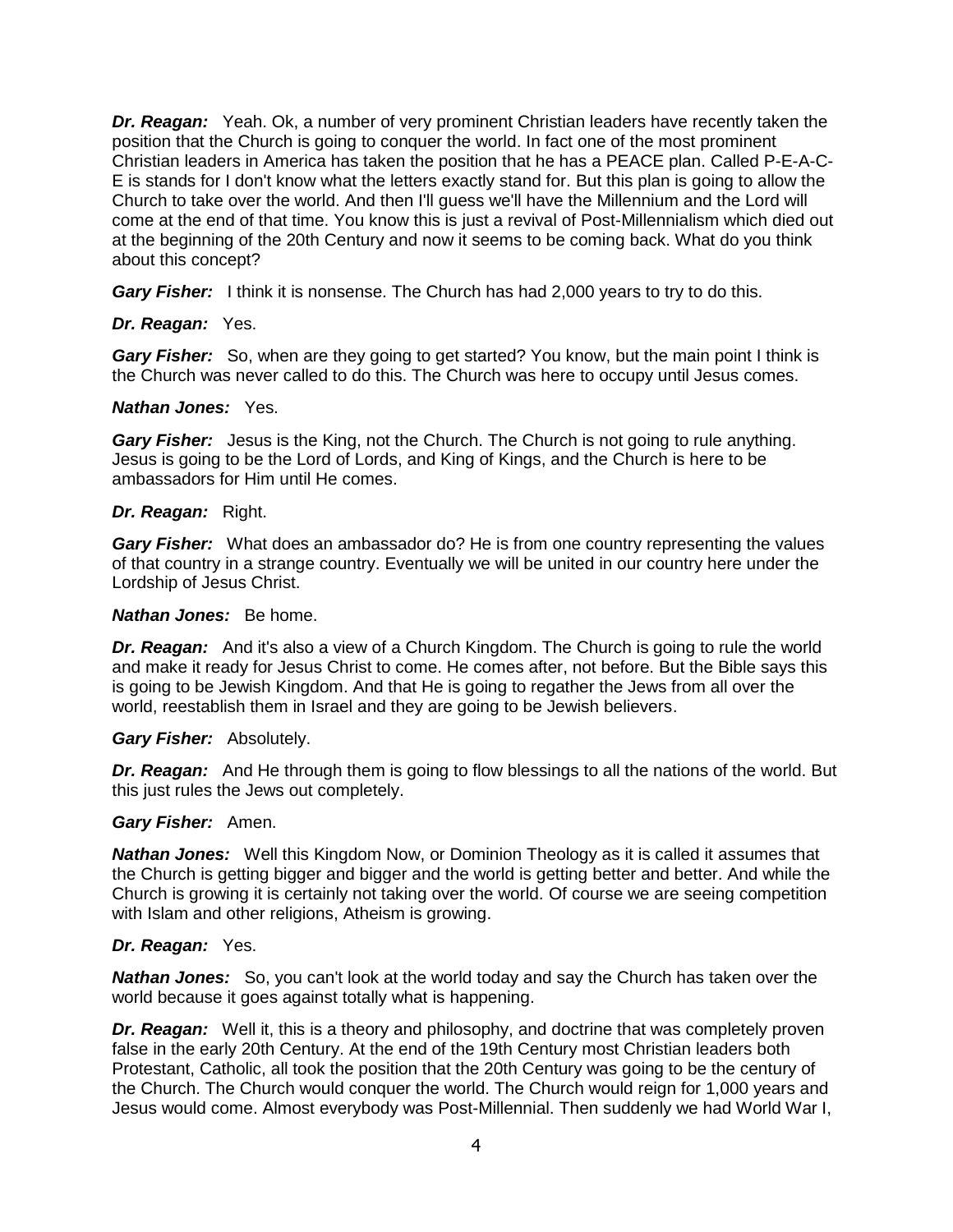*Dr. Reagan:* Yeah. Ok, a number of very prominent Christian leaders have recently taken the position that the Church is going to conquer the world. In fact one of the most prominent Christian leaders in America has taken the position that he has a PEACE plan. Called P-E-A-C-E is stands for I don't know what the letters exactly stand for. But this plan is going to allow the Church to take over the world. And then I'll guess we'll have the Millennium and the Lord will come at the end of that time. You know this is just a revival of Post-Millennialism which died out at the beginning of the 20th Century and now it seems to be coming back. What do you think about this concept?

*Gary Fisher:* I think it is nonsense. The Church has had 2,000 years to try to do this.

# *Dr. Reagan:* Yes.

*Gary Fisher:* So, when are they going to get started? You know, but the main point I think is the Church was never called to do this. The Church was here to occupy until Jesus comes.

# *Nathan Jones:* Yes.

*Gary Fisher:* Jesus is the King, not the Church. The Church is not going to rule anything. Jesus is going to be the Lord of Lords, and King of Kings, and the Church is here to be ambassadors for Him until He comes.

# *Dr. Reagan:* Right.

*Gary Fisher:* What does an ambassador do? He is from one country representing the values of that country in a strange country. Eventually we will be united in our country here under the Lordship of Jesus Christ.

#### *Nathan Jones:* Be home.

*Dr. Reagan:* And it's also a view of a Church Kingdom. The Church is going to rule the world and make it ready for Jesus Christ to come. He comes after, not before. But the Bible says this is going to be Jewish Kingdom. And that He is going to regather the Jews from all over the world, reestablish them in Israel and they are going to be Jewish believers.

# *Gary Fisher:* Absolutely.

**Dr. Reagan:** And He through them is going to flow blessings to all the nations of the world. But this just rules the Jews out completely.

#### *Gary Fisher:* Amen.

*Nathan Jones:* Well this Kingdom Now, or Dominion Theology as it is called it assumes that the Church is getting bigger and bigger and the world is getting better and better. And while the Church is growing it is certainly not taking over the world. Of course we are seeing competition with Islam and other religions, Atheism is growing.

# *Dr. Reagan:* Yes.

*Nathan Jones:* So, you can't look at the world today and say the Church has taken over the world because it goes against totally what is happening.

*Dr. Reagan:* Well it, this is a theory and philosophy, and doctrine that was completely proven false in the early 20th Century. At the end of the 19th Century most Christian leaders both Protestant, Catholic, all took the position that the 20th Century was going to be the century of the Church. The Church would conquer the world. The Church would reign for 1,000 years and Jesus would come. Almost everybody was Post-Millennial. Then suddenly we had World War I,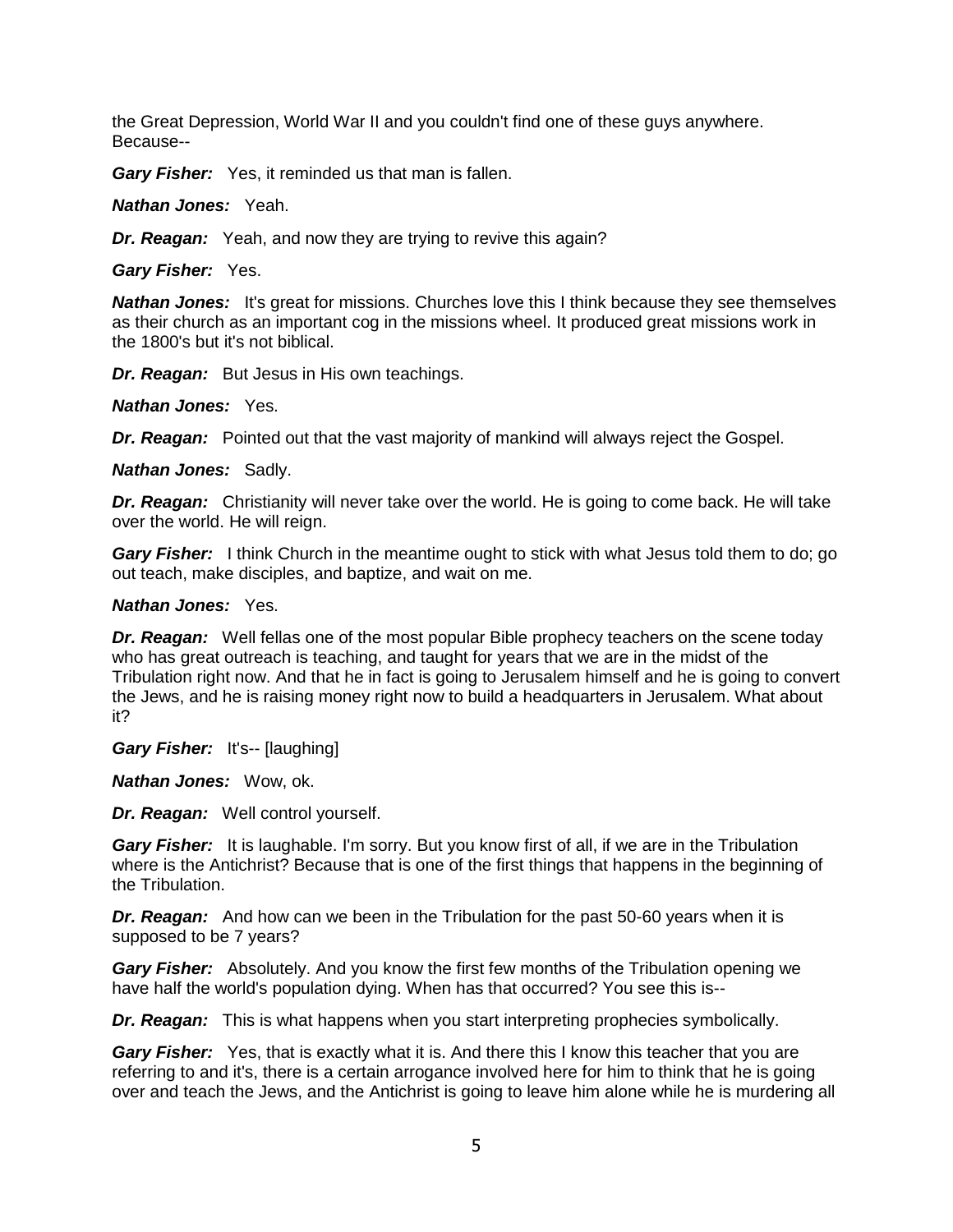the Great Depression, World War II and you couldn't find one of these guys anywhere. Because--

*Gary Fisher:* Yes, it reminded us that man is fallen.

*Nathan Jones:* Yeah.

*Dr. Reagan:* Yeah, and now they are trying to revive this again?

*Gary Fisher:* Yes.

**Nathan Jones:** It's great for missions. Churches love this I think because they see themselves as their church as an important cog in the missions wheel. It produced great missions work in the 1800's but it's not biblical.

*Dr. Reagan:* But Jesus in His own teachings.

*Nathan Jones:* Yes.

*Dr. Reagan:* Pointed out that the vast majority of mankind will always reject the Gospel.

*Nathan Jones:* Sadly.

*Dr. Reagan:* Christianity will never take over the world. He is going to come back. He will take over the world. He will reign.

*Gary Fisher:* I think Church in the meantime ought to stick with what Jesus told them to do; go out teach, make disciples, and baptize, and wait on me.

#### *Nathan Jones:* Yes.

*Dr. Reagan:* Well fellas one of the most popular Bible prophecy teachers on the scene today who has great outreach is teaching, and taught for years that we are in the midst of the Tribulation right now. And that he in fact is going to Jerusalem himself and he is going to convert the Jews, and he is raising money right now to build a headquarters in Jerusalem. What about it?

*Gary Fisher:* It's-- [laughing]

*Nathan Jones:* Wow, ok.

*Dr. Reagan:* Well control yourself.

*Gary Fisher:* It is laughable. I'm sorry. But you know first of all, if we are in the Tribulation where is the Antichrist? Because that is one of the first things that happens in the beginning of the Tribulation.

*Dr. Reagan:* And how can we been in the Tribulation for the past 50-60 years when it is supposed to be 7 years?

*Gary Fisher:* Absolutely. And you know the first few months of the Tribulation opening we have half the world's population dying. When has that occurred? You see this is--

*Dr. Reagan:* This is what happens when you start interpreting prophecies symbolically.

**Gary Fisher:** Yes, that is exactly what it is. And there this I know this teacher that you are referring to and it's, there is a certain arrogance involved here for him to think that he is going over and teach the Jews, and the Antichrist is going to leave him alone while he is murdering all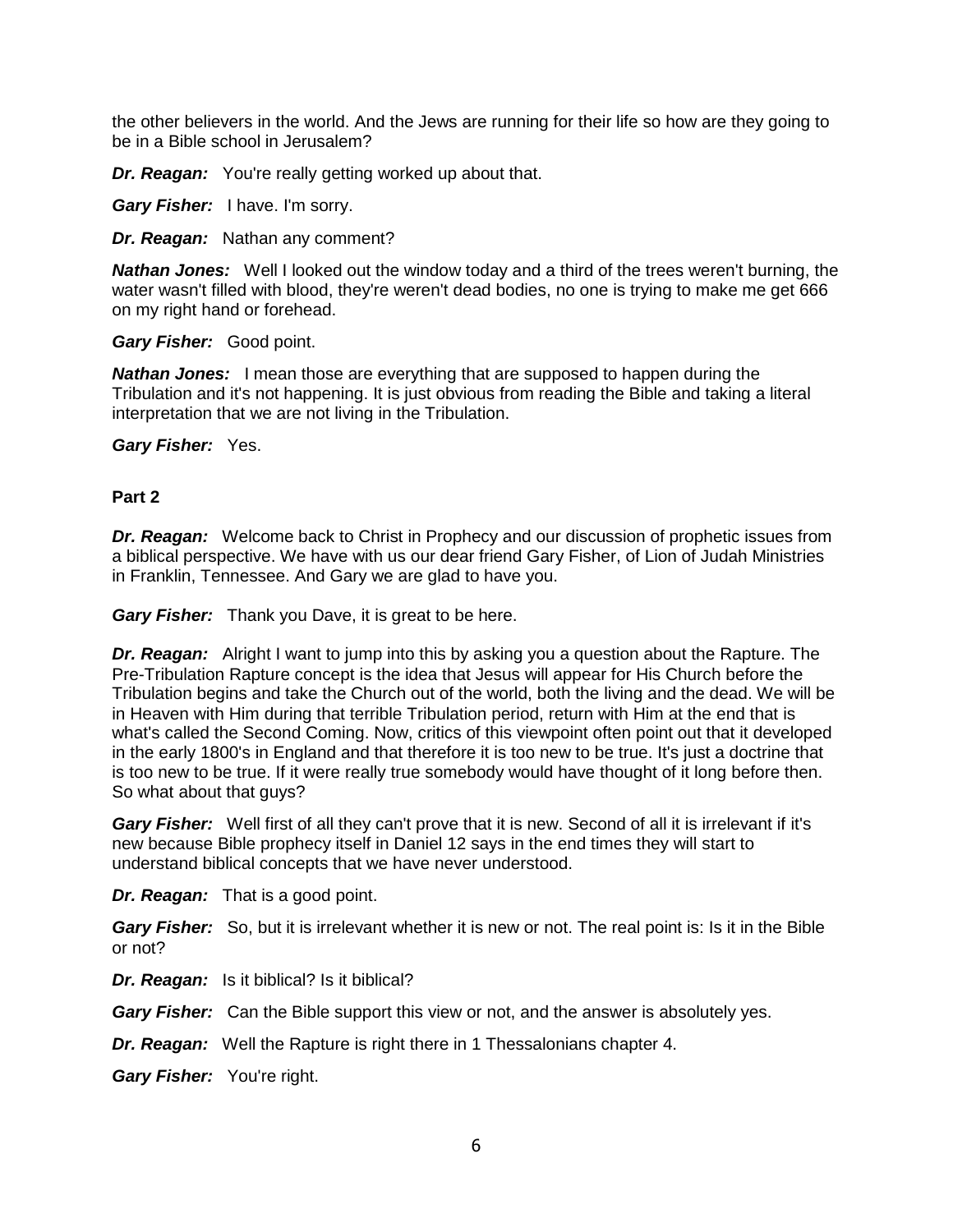the other believers in the world. And the Jews are running for their life so how are they going to be in a Bible school in Jerusalem?

*Dr. Reagan:* You're really getting worked up about that.

*Gary Fisher:* I have. I'm sorry.

*Dr. Reagan:* Nathan any comment?

*Nathan Jones:* Well I looked out the window today and a third of the trees weren't burning, the water wasn't filled with blood, they're weren't dead bodies, no one is trying to make me get 666 on my right hand or forehead.

#### *Gary Fisher:* Good point.

*Nathan Jones:* I mean those are everything that are supposed to happen during the Tribulation and it's not happening. It is just obvious from reading the Bible and taking a literal interpretation that we are not living in the Tribulation.

*Gary Fisher:* Yes.

# **Part 2**

*Dr. Reagan:* Welcome back to Christ in Prophecy and our discussion of prophetic issues from a biblical perspective. We have with us our dear friend Gary Fisher, of Lion of Judah Ministries in Franklin, Tennessee. And Gary we are glad to have you.

*Gary Fisher:* Thank you Dave, it is great to be here.

*Dr. Reagan:* Alright I want to jump into this by asking you a question about the Rapture. The Pre-Tribulation Rapture concept is the idea that Jesus will appear for His Church before the Tribulation begins and take the Church out of the world, both the living and the dead. We will be in Heaven with Him during that terrible Tribulation period, return with Him at the end that is what's called the Second Coming. Now, critics of this viewpoint often point out that it developed in the early 1800's in England and that therefore it is too new to be true. It's just a doctrine that is too new to be true. If it were really true somebody would have thought of it long before then. So what about that guys?

*Gary Fisher:* Well first of all they can't prove that it is new. Second of all it is irrelevant if it's new because Bible prophecy itself in Daniel 12 says in the end times they will start to understand biblical concepts that we have never understood.

*Dr. Reagan:* That is a good point.

*Gary Fisher:* So, but it is irrelevant whether it is new or not. The real point is: Is it in the Bible or not?

*Dr. Reagan:* Is it biblical? Is it biblical?

*Gary Fisher:* Can the Bible support this view or not, and the answer is absolutely yes.

*Dr. Reagan:* Well the Rapture is right there in 1 Thessalonians chapter 4.

*Gary Fisher:* You're right.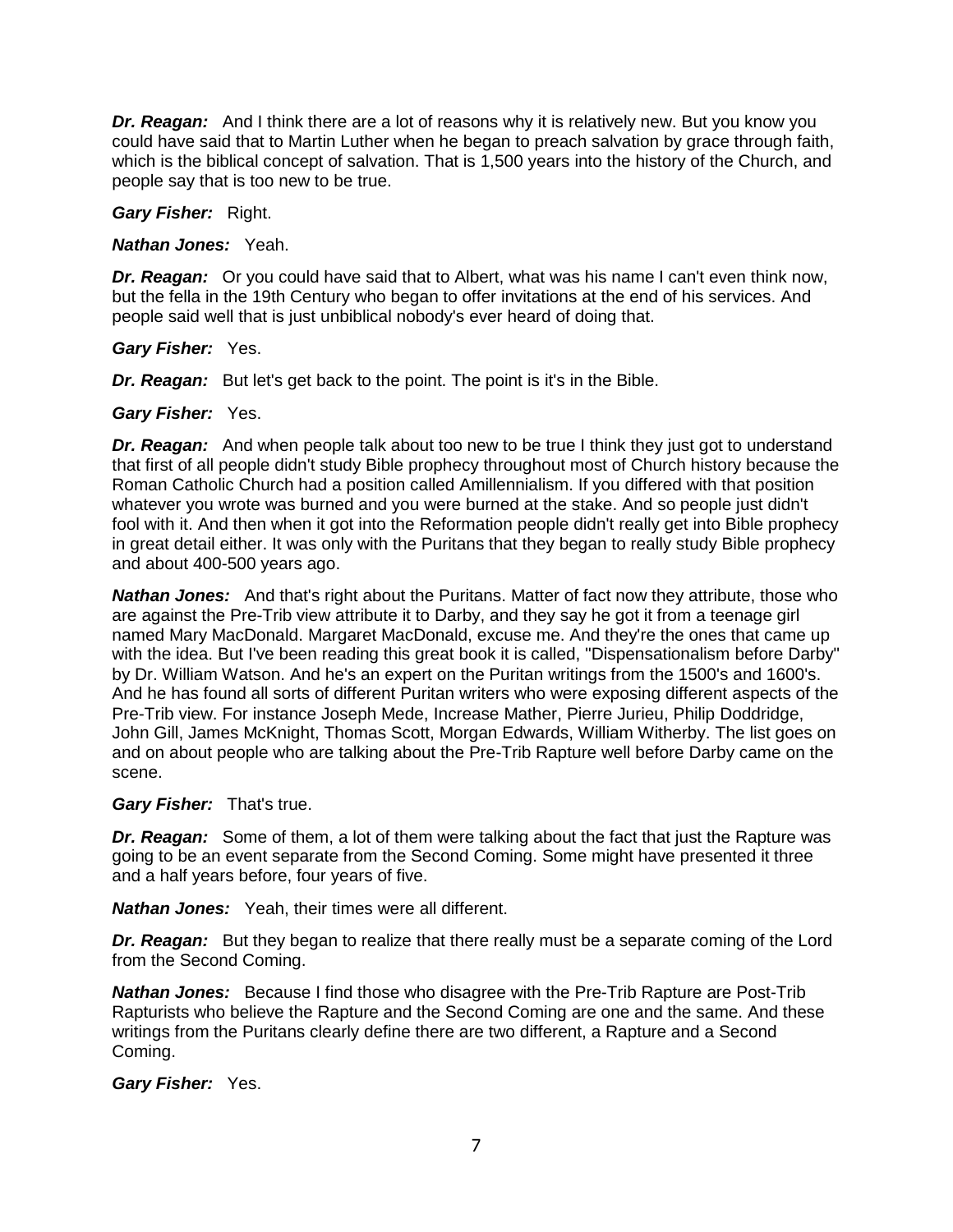*Dr. Reagan:* And I think there are a lot of reasons why it is relatively new. But you know you could have said that to Martin Luther when he began to preach salvation by grace through faith, which is the biblical concept of salvation. That is 1,500 years into the history of the Church, and people say that is too new to be true.

*Gary Fisher:* Right.

*Nathan Jones:* Yeah.

*Dr. Reagan:* Or you could have said that to Albert, what was his name I can't even think now, but the fella in the 19th Century who began to offer invitations at the end of his services. And people said well that is just unbiblical nobody's ever heard of doing that.

*Gary Fisher:* Yes.

*Dr. Reagan:* But let's get back to the point. The point is it's in the Bible.

# *Gary Fisher:* Yes.

*Dr. Reagan:* And when people talk about too new to be true I think they just got to understand that first of all people didn't study Bible prophecy throughout most of Church history because the Roman Catholic Church had a position called Amillennialism. If you differed with that position whatever you wrote was burned and you were burned at the stake. And so people just didn't fool with it. And then when it got into the Reformation people didn't really get into Bible prophecy in great detail either. It was only with the Puritans that they began to really study Bible prophecy and about 400-500 years ago.

*Nathan Jones:* And that's right about the Puritans. Matter of fact now they attribute, those who are against the Pre-Trib view attribute it to Darby, and they say he got it from a teenage girl named Mary MacDonald. Margaret MacDonald, excuse me. And they're the ones that came up with the idea. But I've been reading this great book it is called, "Dispensationalism before Darby" by Dr. William Watson. And he's an expert on the Puritan writings from the 1500's and 1600's. And he has found all sorts of different Puritan writers who were exposing different aspects of the Pre-Trib view. For instance Joseph Mede, Increase Mather, Pierre Jurieu, Philip Doddridge, John Gill, James McKnight, Thomas Scott, Morgan Edwards, William Witherby. The list goes on and on about people who are talking about the Pre-Trib Rapture well before Darby came on the scene.

# *Gary Fisher:* That's true.

*Dr. Reagan:* Some of them, a lot of them were talking about the fact that just the Rapture was going to be an event separate from the Second Coming. Some might have presented it three and a half years before, four years of five.

*Nathan Jones:* Yeah, their times were all different.

**Dr. Reagan:** But they began to realize that there really must be a separate coming of the Lord from the Second Coming.

*Nathan Jones:* Because I find those who disagree with the Pre-Trib Rapture are Post-Trib Rapturists who believe the Rapture and the Second Coming are one and the same. And these writings from the Puritans clearly define there are two different, a Rapture and a Second Coming.

*Gary Fisher:* Yes.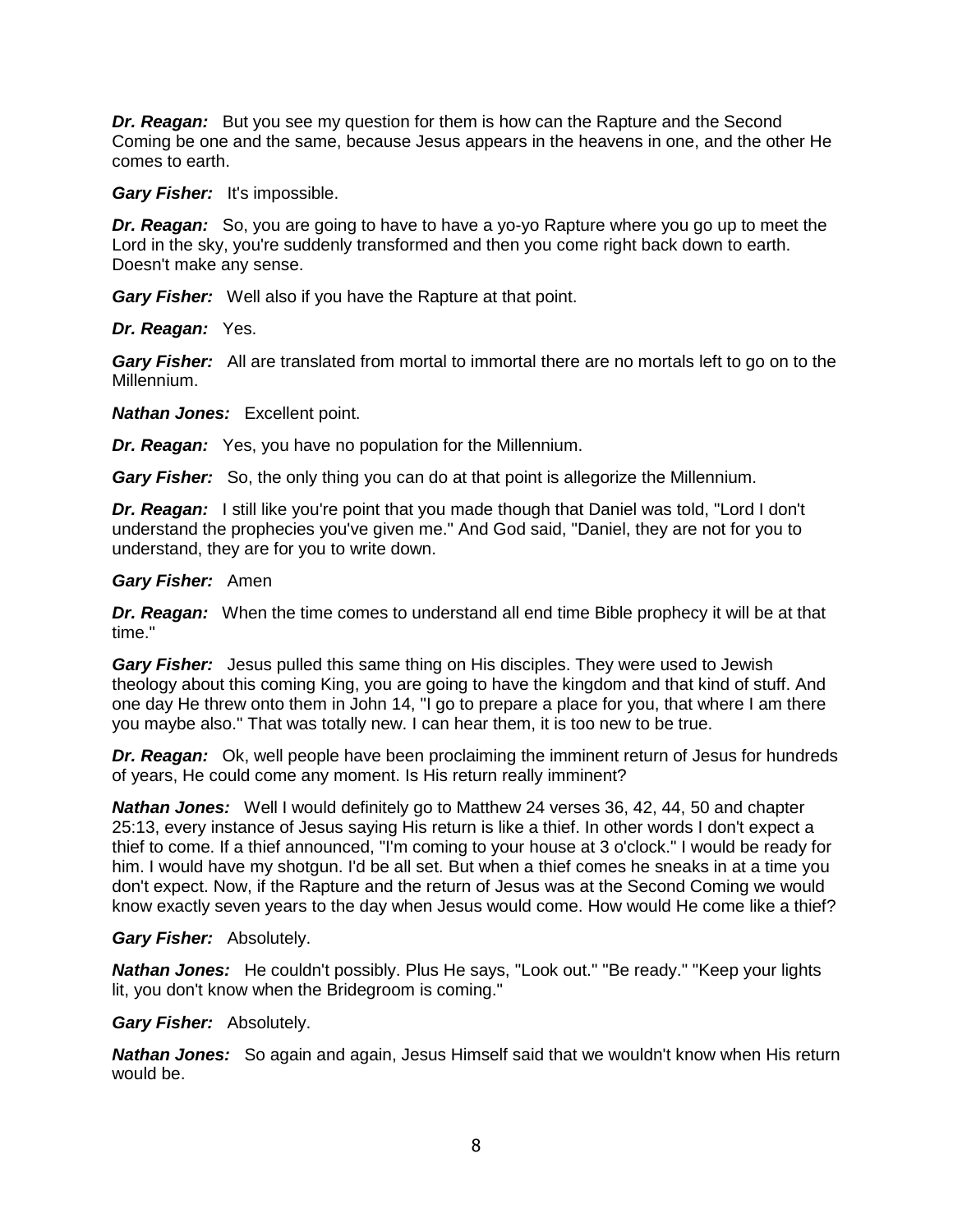*Dr. Reagan:* But you see my question for them is how can the Rapture and the Second Coming be one and the same, because Jesus appears in the heavens in one, and the other He comes to earth.

*Gary Fisher:* It's impossible.

*Dr. Reagan:* So, you are going to have to have a yo-yo Rapture where you go up to meet the Lord in the sky, you're suddenly transformed and then you come right back down to earth. Doesn't make any sense.

*Gary Fisher:* Well also if you have the Rapture at that point.

*Dr. Reagan:* Yes.

*Gary Fisher:* All are translated from mortal to immortal there are no mortals left to go on to the Millennium.

*Nathan Jones:* Excellent point.

*Dr. Reagan:* Yes, you have no population for the Millennium.

*Gary Fisher:* So, the only thing you can do at that point is allegorize the Millennium.

*Dr. Reagan:* I still like you're point that you made though that Daniel was told, "Lord I don't understand the prophecies you've given me." And God said, "Daniel, they are not for you to understand, they are for you to write down.

#### *Gary Fisher:* Amen

*Dr. Reagan:* When the time comes to understand all end time Bible prophecy it will be at that time."

*Gary Fisher:* Jesus pulled this same thing on His disciples. They were used to Jewish theology about this coming King, you are going to have the kingdom and that kind of stuff. And one day He threw onto them in John 14, "I go to prepare a place for you, that where I am there you maybe also." That was totally new. I can hear them, it is too new to be true.

*Dr. Reagan:* Ok, well people have been proclaiming the imminent return of Jesus for hundreds of years, He could come any moment. Is His return really imminent?

*Nathan Jones:* Well I would definitely go to Matthew 24 verses 36, 42, 44, 50 and chapter 25:13, every instance of Jesus saying His return is like a thief. In other words I don't expect a thief to come. If a thief announced, "I'm coming to your house at 3 o'clock." I would be ready for him. I would have my shotgun. I'd be all set. But when a thief comes he sneaks in at a time you don't expect. Now, if the Rapture and the return of Jesus was at the Second Coming we would know exactly seven years to the day when Jesus would come. How would He come like a thief?

# *Gary Fisher:* Absolutely.

*Nathan Jones:* He couldn't possibly. Plus He says, "Look out." "Be ready." "Keep your lights lit, you don't know when the Bridegroom is coming."

# *Gary Fisher:* Absolutely.

*Nathan Jones:* So again and again, Jesus Himself said that we wouldn't know when His return would be.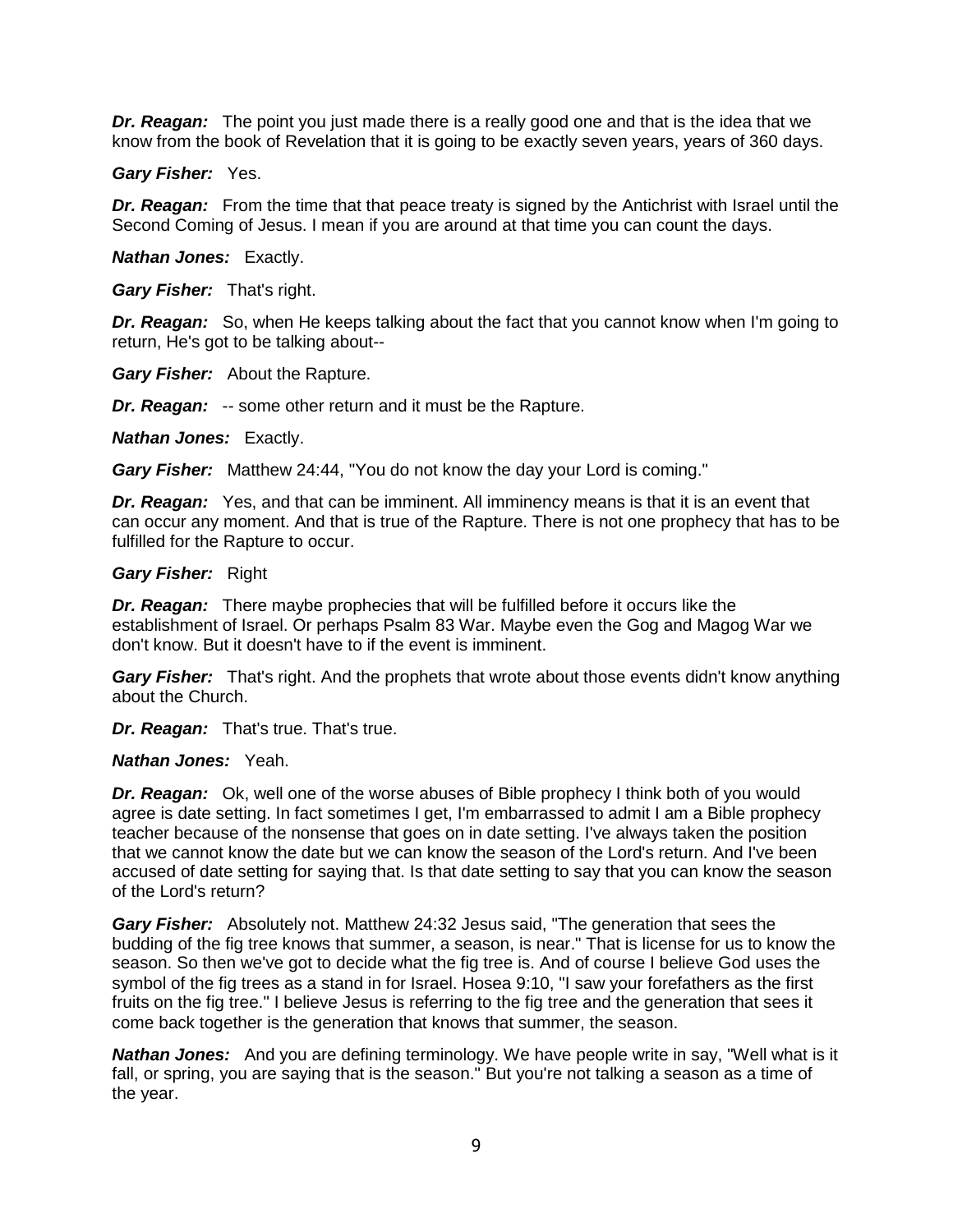*Dr. Reagan:* The point you just made there is a really good one and that is the idea that we know from the book of Revelation that it is going to be exactly seven years, years of 360 days.

*Gary Fisher:* Yes.

**Dr. Reagan:** From the time that that peace treaty is signed by the Antichrist with Israel until the Second Coming of Jesus. I mean if you are around at that time you can count the days.

*Nathan Jones:* Exactly.

*Gary Fisher:* That's right.

*Dr. Reagan:* So, when He keeps talking about the fact that you cannot know when I'm going to return, He's got to be talking about--

*Gary Fisher:* About the Rapture.

*Dr. Reagan:* -- some other return and it must be the Rapture.

*Nathan Jones:* Exactly.

*Gary Fisher:* Matthew 24:44, "You do not know the day your Lord is coming."

*Dr. Reagan:* Yes, and that can be imminent. All imminency means is that it is an event that can occur any moment. And that is true of the Rapture. There is not one prophecy that has to be fulfilled for the Rapture to occur.

#### *Gary Fisher:* Right

*Dr. Reagan:* There maybe prophecies that will be fulfilled before it occurs like the establishment of Israel. Or perhaps Psalm 83 War. Maybe even the Gog and Magog War we don't know. But it doesn't have to if the event is imminent.

*Gary Fisher:* That's right. And the prophets that wrote about those events didn't know anything about the Church.

*Dr. Reagan:* That's true. That's true.

#### *Nathan Jones:* Yeah.

*Dr. Reagan:* Ok, well one of the worse abuses of Bible prophecy I think both of you would agree is date setting. In fact sometimes I get, I'm embarrassed to admit I am a Bible prophecy teacher because of the nonsense that goes on in date setting. I've always taken the position that we cannot know the date but we can know the season of the Lord's return. And I've been accused of date setting for saying that. Is that date setting to say that you can know the season of the Lord's return?

*Gary Fisher:* Absolutely not. Matthew 24:32 Jesus said, "The generation that sees the budding of the fig tree knows that summer, a season, is near." That is license for us to know the season. So then we've got to decide what the fig tree is. And of course I believe God uses the symbol of the fig trees as a stand in for Israel. Hosea 9:10, "I saw your forefathers as the first fruits on the fig tree." I believe Jesus is referring to the fig tree and the generation that sees it come back together is the generation that knows that summer, the season.

*Nathan Jones:* And you are defining terminology. We have people write in say, "Well what is it fall, or spring, you are saying that is the season." But you're not talking a season as a time of the year.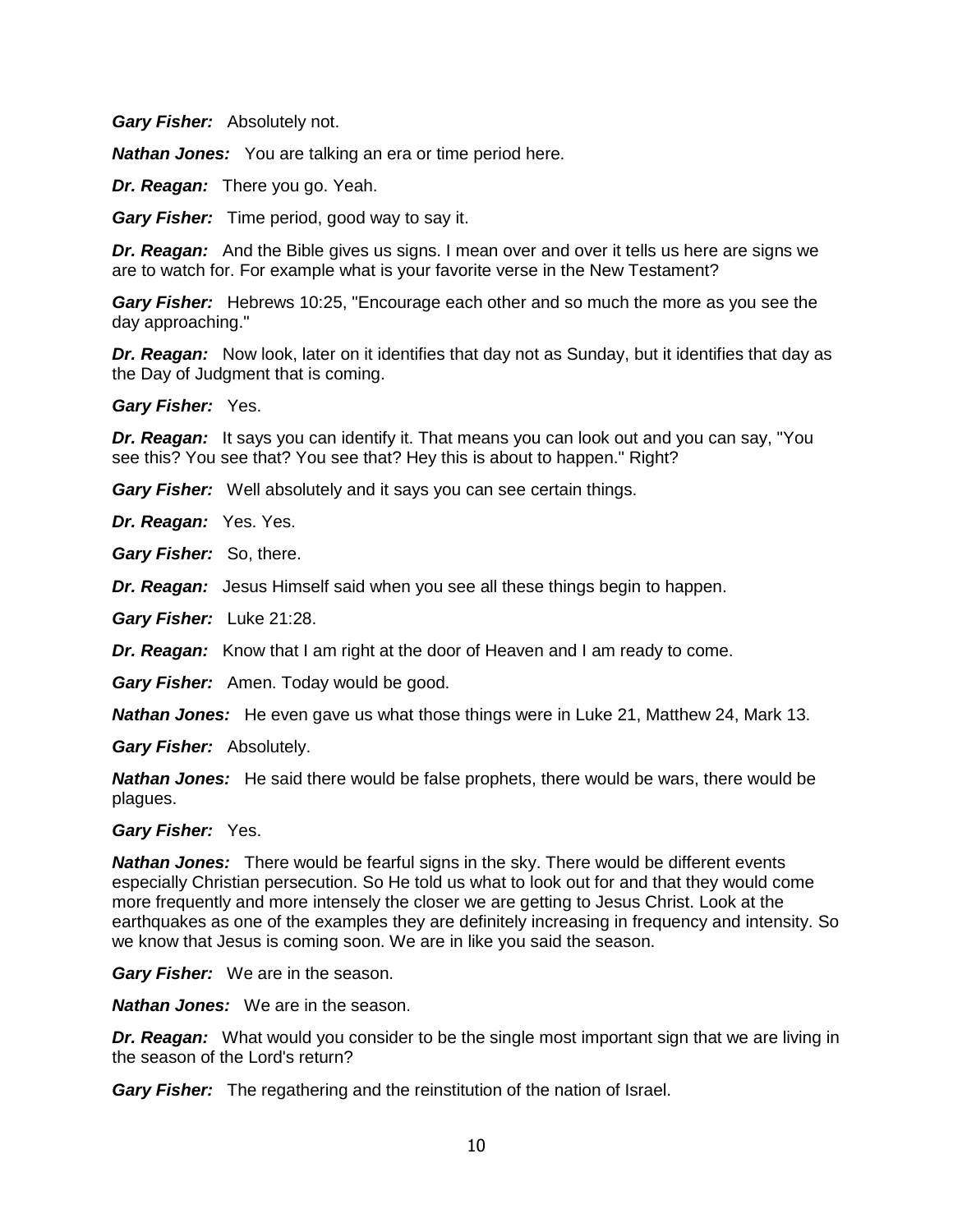*Gary Fisher:* Absolutely not.

*Nathan Jones:* You are talking an era or time period here.

*Dr. Reagan:* There you go. Yeah.

*Gary Fisher:* Time period, good way to say it.

*Dr. Reagan:* And the Bible gives us signs. I mean over and over it tells us here are signs we are to watch for. For example what is your favorite verse in the New Testament?

*Gary Fisher:* Hebrews 10:25, "Encourage each other and so much the more as you see the day approaching."

*Dr. Reagan:* Now look, later on it identifies that day not as Sunday, but it identifies that day as the Day of Judgment that is coming.

*Gary Fisher:* Yes.

*Dr. Reagan:* It says you can identify it. That means you can look out and you can say, "You see this? You see that? You see that? Hey this is about to happen." Right?

*Gary Fisher:* Well absolutely and it says you can see certain things.

*Dr. Reagan:* Yes. Yes.

*Gary Fisher:* So, there.

*Dr. Reagan:* Jesus Himself said when you see all these things begin to happen.

*Gary Fisher:* Luke 21:28.

*Dr. Reagan:* Know that I am right at the door of Heaven and I am ready to come.

*Gary Fisher:* Amen. Today would be good.

*Nathan Jones:* He even gave us what those things were in Luke 21, Matthew 24, Mark 13.

*Gary Fisher:* Absolutely.

*Nathan Jones:* He said there would be false prophets, there would be wars, there would be plagues.

*Gary Fisher:* Yes.

*Nathan Jones:* There would be fearful signs in the sky. There would be different events especially Christian persecution. So He told us what to look out for and that they would come more frequently and more intensely the closer we are getting to Jesus Christ. Look at the earthquakes as one of the examples they are definitely increasing in frequency and intensity. So we know that Jesus is coming soon. We are in like you said the season.

*Gary Fisher:* We are in the season.

*Nathan Jones:* We are in the season.

*Dr. Reagan:* What would you consider to be the single most important sign that we are living in the season of the Lord's return?

*Gary Fisher:* The regathering and the reinstitution of the nation of Israel.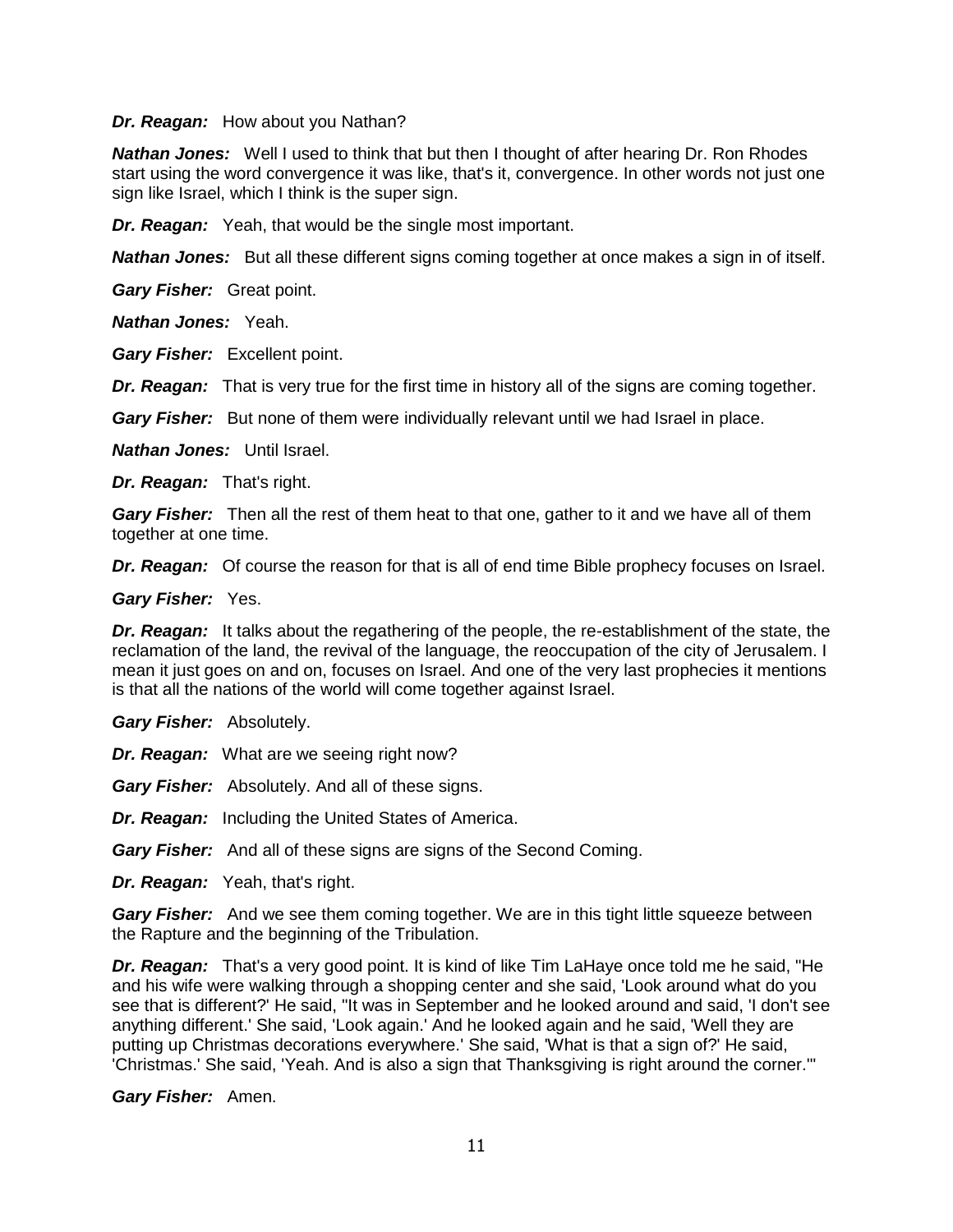*Dr. Reagan:* How about you Nathan?

*Nathan Jones:* Well I used to think that but then I thought of after hearing Dr. Ron Rhodes start using the word convergence it was like, that's it, convergence. In other words not just one sign like Israel, which I think is the super sign.

*Dr. Reagan:* Yeah, that would be the single most important.

*Nathan Jones:* But all these different signs coming together at once makes a sign in of itself.

*Gary Fisher:* Great point.

*Nathan Jones:* Yeah.

*Gary Fisher:* Excellent point.

*Dr. Reagan:* That is very true for the first time in history all of the signs are coming together.

*Gary Fisher:* But none of them were individually relevant until we had Israel in place.

*Nathan Jones:* Until Israel.

*Dr. Reagan:* That's right.

*Gary Fisher:* Then all the rest of them heat to that one, gather to it and we have all of them together at one time.

*Dr. Reagan:* Of course the reason for that is all of end time Bible prophecy focuses on Israel.

*Gary Fisher:* Yes.

*Dr. Reagan:* It talks about the regathering of the people, the re-establishment of the state, the reclamation of the land, the revival of the language, the reoccupation of the city of Jerusalem. I mean it just goes on and on, focuses on Israel. And one of the very last prophecies it mentions is that all the nations of the world will come together against Israel.

*Gary Fisher:* Absolutely.

*Dr. Reagan:* What are we seeing right now?

*Gary Fisher:* Absolutely. And all of these signs.

*Dr. Reagan:* Including the United States of America.

*Gary Fisher:* And all of these signs are signs of the Second Coming.

*Dr. Reagan:* Yeah, that's right.

**Gary Fisher:** And we see them coming together. We are in this tight little squeeze between the Rapture and the beginning of the Tribulation.

*Dr. Reagan:* That's a very good point. It is kind of like Tim LaHaye once told me he said, "He and his wife were walking through a shopping center and she said, 'Look around what do you see that is different?' He said, "It was in September and he looked around and said, 'I don't see anything different.' She said, 'Look again.' And he looked again and he said, 'Well they are putting up Christmas decorations everywhere.' She said, 'What is that a sign of?' He said, 'Christmas.' She said, 'Yeah. And is also a sign that Thanksgiving is right around the corner.'"

*Gary Fisher:* Amen.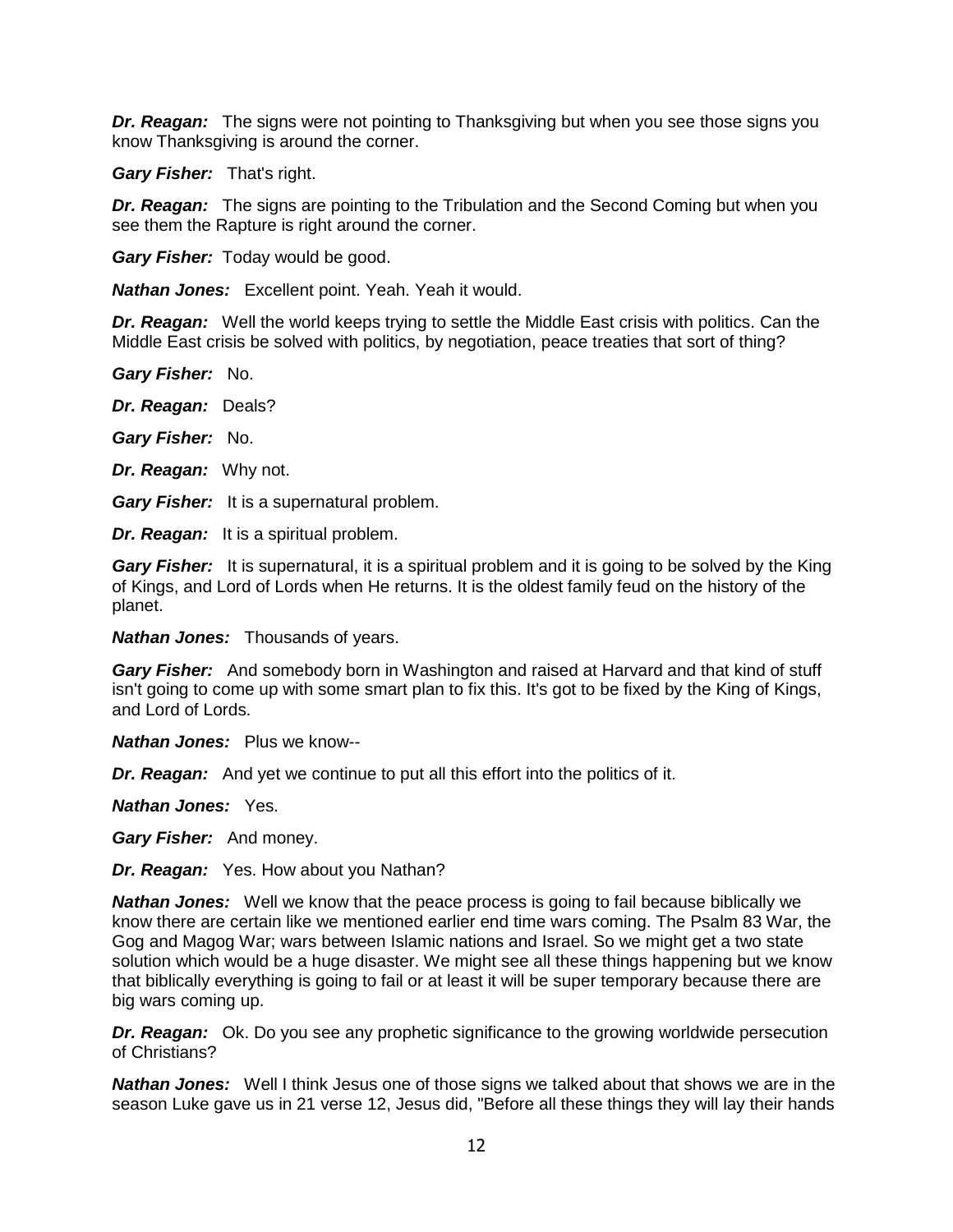*Dr. Reagan:* The signs were not pointing to Thanksgiving but when you see those signs you know Thanksgiving is around the corner.

*Gary Fisher:* That's right.

*Dr. Reagan:* The signs are pointing to the Tribulation and the Second Coming but when you see them the Rapture is right around the corner.

*Gary Fisher:* Today would be good.

*Nathan Jones:* Excellent point. Yeah. Yeah it would.

*Dr. Reagan:* Well the world keeps trying to settle the Middle East crisis with politics. Can the Middle East crisis be solved with politics, by negotiation, peace treaties that sort of thing?

*Gary Fisher:* No.

*Dr. Reagan:* Deals?

*Gary Fisher:* No.

*Dr. Reagan:* Why not.

*Gary Fisher:* It is a supernatural problem.

*Dr. Reagan:* It is a spiritual problem.

*Gary Fisher:* It is supernatural, it is a spiritual problem and it is going to be solved by the King of Kings, and Lord of Lords when He returns. It is the oldest family feud on the history of the planet.

*Nathan Jones:* Thousands of years.

*Gary Fisher:* And somebody born in Washington and raised at Harvard and that kind of stuff isn't going to come up with some smart plan to fix this. It's got to be fixed by the King of Kings, and Lord of Lords.

*Nathan Jones:* Plus we know--

*Dr. Reagan:* And yet we continue to put all this effort into the politics of it.

*Nathan Jones:* Yes.

*Gary Fisher:* And money.

*Dr. Reagan:* Yes. How about you Nathan?

*Nathan Jones:* Well we know that the peace process is going to fail because biblically we know there are certain like we mentioned earlier end time wars coming. The Psalm 83 War, the Gog and Magog War; wars between Islamic nations and Israel. So we might get a two state solution which would be a huge disaster. We might see all these things happening but we know that biblically everything is going to fail or at least it will be super temporary because there are big wars coming up.

*Dr. Reagan:* Ok. Do you see any prophetic significance to the growing worldwide persecution of Christians?

*Nathan Jones:* Well I think Jesus one of those signs we talked about that shows we are in the season Luke gave us in 21 verse 12, Jesus did, "Before all these things they will lay their hands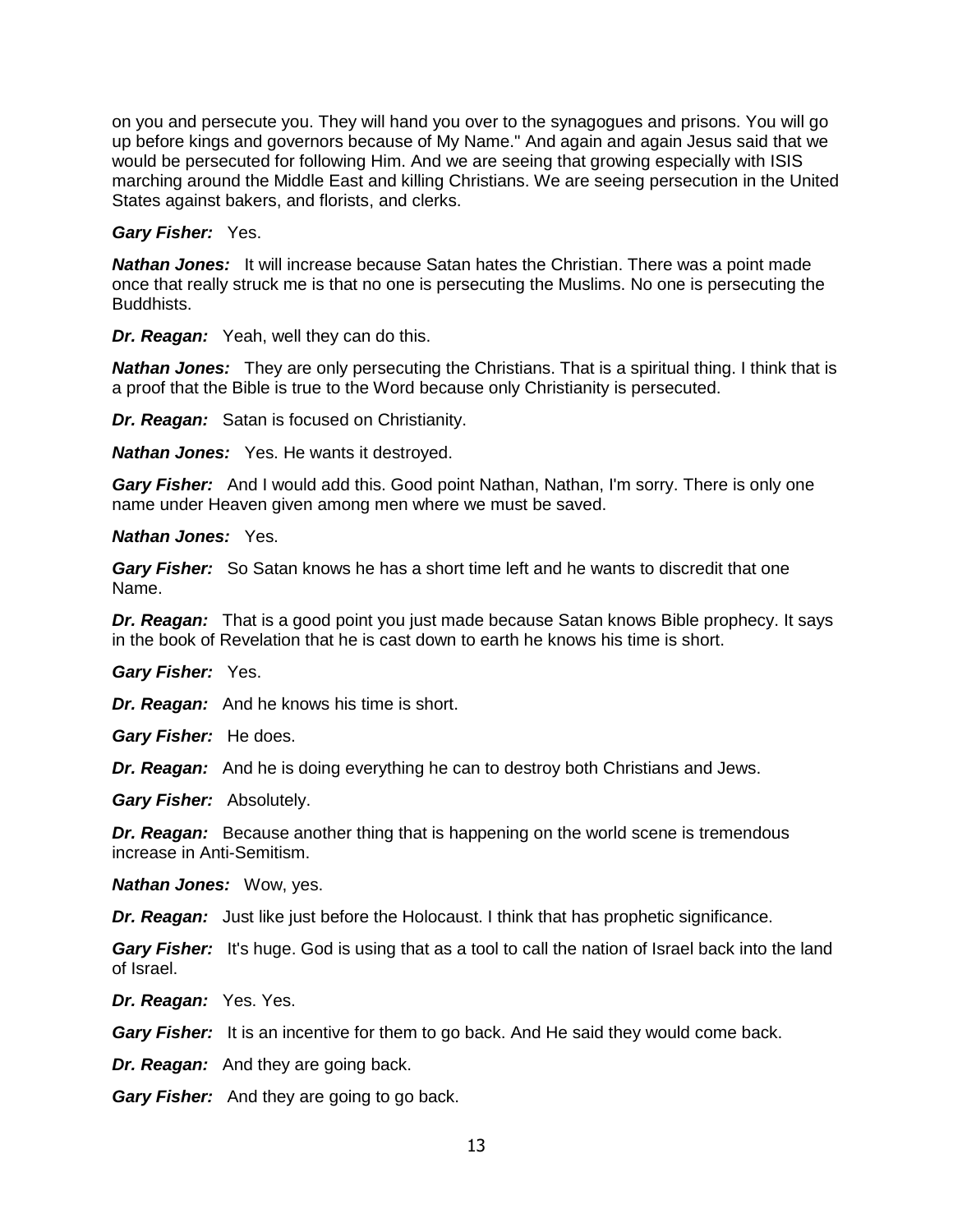on you and persecute you. They will hand you over to the synagogues and prisons. You will go up before kings and governors because of My Name." And again and again Jesus said that we would be persecuted for following Him. And we are seeing that growing especially with ISIS marching around the Middle East and killing Christians. We are seeing persecution in the United States against bakers, and florists, and clerks.

#### *Gary Fisher:* Yes.

*Nathan Jones:* It will increase because Satan hates the Christian. There was a point made once that really struck me is that no one is persecuting the Muslims. No one is persecuting the Buddhists.

*Dr. Reagan:* Yeah, well they can do this.

*Nathan Jones:* They are only persecuting the Christians. That is a spiritual thing. I think that is a proof that the Bible is true to the Word because only Christianity is persecuted.

*Dr. Reagan:* Satan is focused on Christianity.

*Nathan Jones:* Yes. He wants it destroyed.

*Gary Fisher:* And I would add this. Good point Nathan, Nathan, I'm sorry. There is only one name under Heaven given among men where we must be saved.

#### *Nathan Jones:* Yes.

*Gary Fisher:* So Satan knows he has a short time left and he wants to discredit that one Name.

*Dr. Reagan:* That is a good point you just made because Satan knows Bible prophecy. It says in the book of Revelation that he is cast down to earth he knows his time is short.

*Gary Fisher:* Yes.

*Dr. Reagan:* And he knows his time is short.

*Gary Fisher:* He does.

*Dr. Reagan:* And he is doing everything he can to destroy both Christians and Jews.

*Gary Fisher:* Absolutely.

*Dr. Reagan:* Because another thing that is happening on the world scene is tremendous increase in Anti-Semitism.

*Nathan Jones:* Wow, yes.

*Dr. Reagan:* Just like just before the Holocaust. I think that has prophetic significance.

**Gary Fisher:** It's huge. God is using that as a tool to call the nation of Israel back into the land of Israel.

*Dr. Reagan:* Yes. Yes.

*Gary Fisher:* It is an incentive for them to go back. And He said they would come back.

*Dr. Reagan:* And they are going back.

*Gary Fisher:* And they are going to go back.